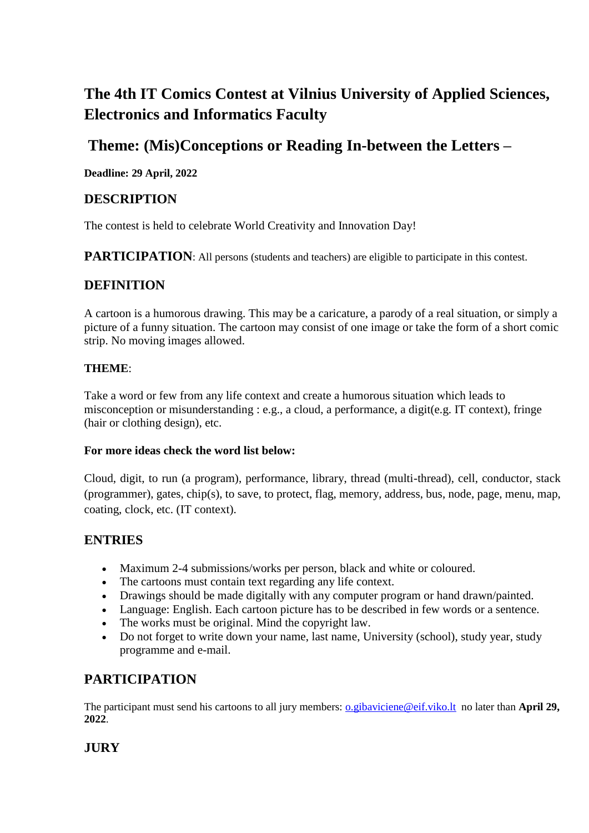# **The 4th IT Comics Contest at Vilnius University of Applied Sciences, Electronics and Informatics Faculty**

### **Theme: (Mis)Conceptions or Reading In-between the Letters –**

**Deadline: 29 April, 2022**

#### **DESCRIPTION**

The contest is held to celebrate World Creativity and Innovation Day!

**PARTICIPATION:** All persons (students and teachers) are eligible to participate in this contest.

#### **DEFINITION**

A cartoon is a humorous drawing. This may be a caricature, a parody of a real situation, or simply a picture of a funny situation. The cartoon may consist of one image or take the form of a short comic strip. No moving images allowed.

#### **THEME**:

Take a word or few from any life context and create a humorous situation which leads to misconception or misunderstanding : e.g., a cloud, a performance, a digit(e.g. IT context), fringe (hair or clothing design), etc.

#### **For more ideas check the word list below:**

Cloud, digit, to run (a program), performance, library, thread (multi-thread), cell, conductor, stack (programmer), gates, chip(s), to save, to protect, flag, memory, address, bus, node, page, menu, map, coating, clock, etc. (IT context).

#### **ENTRIES**

- Maximum 2-4 submissions/works per person, black and white or coloured.
- The cartoons must contain text regarding any life context.
- Drawings should be made digitally with any computer program or hand drawn/painted.
- Language: English. Each cartoon picture has to be described in few words or a sentence.
- The works must be original. Mind the copyright law.
- Do not forget to write down your name, last name, University (school), study year, study programme and e-mail.

### **PARTICIPATION**

The participant must send his cartoons to all jury members: <u>o.gibaviciene@eif.viko.lt</u> no later than **April 29**, **2022**.

### **JURY**